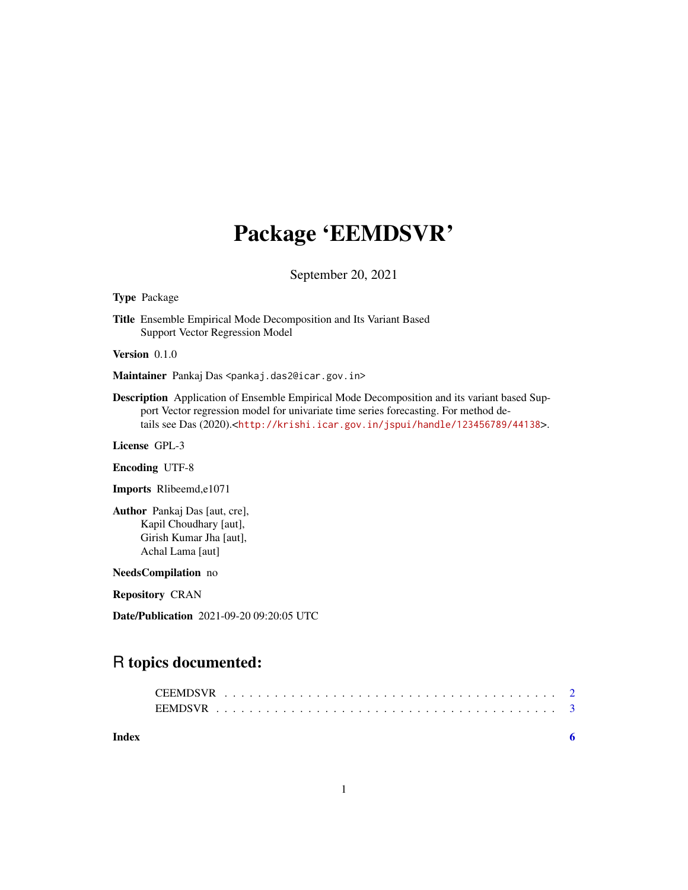## Package 'EEMDSVR'

September 20, 2021

Type Package

Title Ensemble Empirical Mode Decomposition and Its Variant Based Support Vector Regression Model

Version 0.1.0

Maintainer Pankaj Das <pankaj.das2@icar.gov.in>

Description Application of Ensemble Empirical Mode Decomposition and its variant based Support Vector regression model for univariate time series forecasting. For method details see Das (2020).<<http://krishi.icar.gov.in/jspui/handle/123456789/44138>>.

License GPL-3

Encoding UTF-8

Imports Rlibeemd,e1071

Author Pankaj Das [aut, cre], Kapil Choudhary [aut], Girish Kumar Jha [aut], Achal Lama [aut]

NeedsCompilation no

Repository CRAN

Date/Publication 2021-09-20 09:20:05 UTC

## R topics documented:

| Index |  |  |  |  |  |  |  |  |  |  |  |  |  |  |  |  |
|-------|--|--|--|--|--|--|--|--|--|--|--|--|--|--|--|--|
|       |  |  |  |  |  |  |  |  |  |  |  |  |  |  |  |  |
|       |  |  |  |  |  |  |  |  |  |  |  |  |  |  |  |  |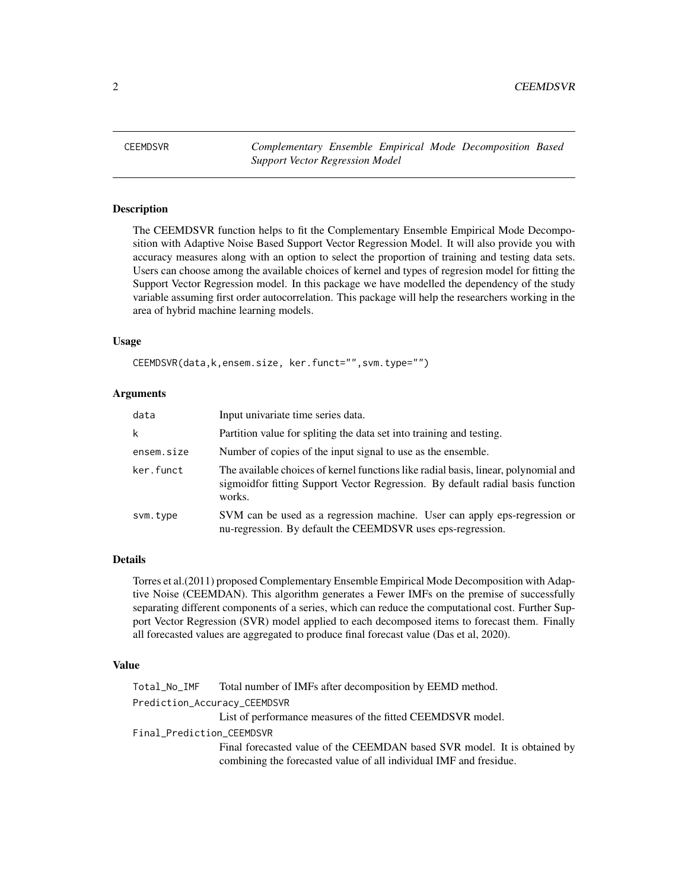<span id="page-1-0"></span>2 2 CEEMDSVR

CEEMDSVR *Complementary Ensemble Empirical Mode Decomposition Based Support Vector Regression Model*

#### Description

The CEEMDSVR function helps to fit the Complementary Ensemble Empirical Mode Decomposition with Adaptive Noise Based Support Vector Regression Model. It will also provide you with accuracy measures along with an option to select the proportion of training and testing data sets. Users can choose among the available choices of kernel and types of regresion model for fitting the Support Vector Regression model. In this package we have modelled the dependency of the study variable assuming first order autocorrelation. This package will help the researchers working in the area of hybrid machine learning models.

#### Usage

CEEMDSVR(data,k,ensem.size, ker.funct="",svm.type="")

#### Arguments

| data       | Input univariate time series data.                                                                                                                                               |
|------------|----------------------------------------------------------------------------------------------------------------------------------------------------------------------------------|
| k          | Partition value for spliting the data set into training and testing.                                                                                                             |
| ensem.size | Number of copies of the input signal to use as the ensemble.                                                                                                                     |
| ker.funct  | The available choices of kernel functions like radial basis, linear, polynomial and<br>sigmoid for fitting Support Vector Regression. By default radial basis function<br>works. |
| svm.type   | SVM can be used as a regression machine. User can apply eps-regression or<br>nu-regression. By default the CEEMDSVR uses eps-regression.                                         |

#### Details

Torres et al.(2011) proposed Complementary Ensemble Empirical Mode Decomposition with Adaptive Noise (CEEMDAN). This algorithm generates a Fewer IMFs on the premise of successfully separating different components of a series, which can reduce the computational cost. Further Support Vector Regression (SVR) model applied to each decomposed items to forecast them. Finally all forecasted values are aggregated to produce final forecast value (Das et al, 2020).

#### Value

Total\_No\_IMF Total number of IMFs after decomposition by EEMD method. Prediction\_Accuracy\_CEEMDSVR List of performance measures of the fitted CEEMDSVR model. Final\_Prediction\_CEEMDSVR Final forecasted value of the CEEMDAN based SVR model. It is obtained by combining the forecasted value of all individual IMF and fresidue.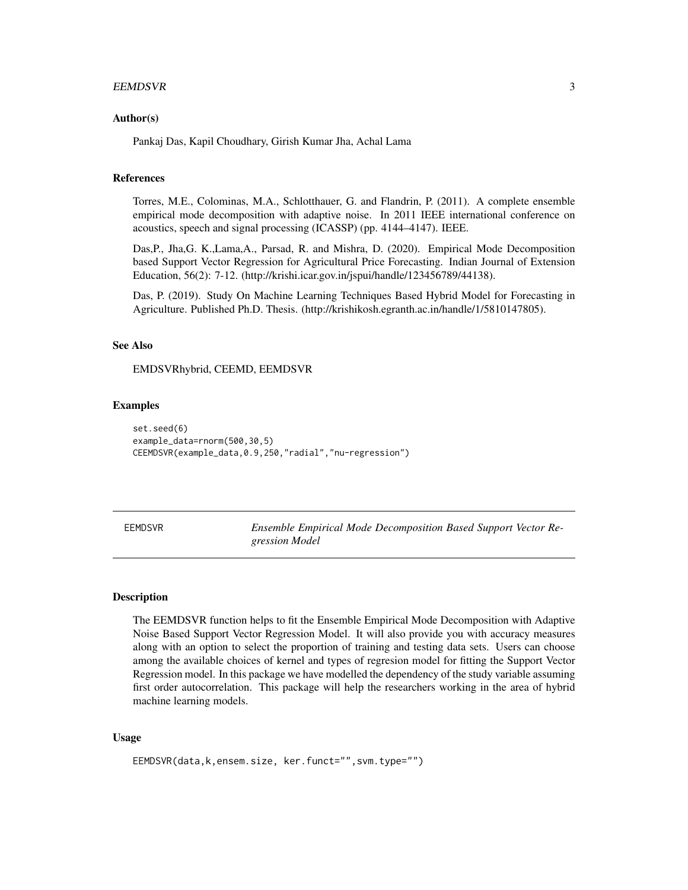#### <span id="page-2-0"></span>EEMDSVR 3

#### Author(s)

Pankaj Das, Kapil Choudhary, Girish Kumar Jha, Achal Lama

#### References

Torres, M.E., Colominas, M.A., Schlotthauer, G. and Flandrin, P. (2011). A complete ensemble empirical mode decomposition with adaptive noise. In 2011 IEEE international conference on acoustics, speech and signal processing (ICASSP) (pp. 4144–4147). IEEE.

Das,P., Jha,G. K.,Lama,A., Parsad, R. and Mishra, D. (2020). Empirical Mode Decomposition based Support Vector Regression for Agricultural Price Forecasting. Indian Journal of Extension Education, 56(2): 7-12. (http://krishi.icar.gov.in/jspui/handle/123456789/44138).

Das, P. (2019). Study On Machine Learning Techniques Based Hybrid Model for Forecasting in Agriculture. Published Ph.D. Thesis. (http://krishikosh.egranth.ac.in/handle/1/5810147805).

#### See Also

EMDSVRhybrid, CEEMD, EEMDSVR

#### Examples

```
set.seed(6)
example_data=rnorm(500,30,5)
CEEMDSVR(example_data,0.9,250,"radial","nu-regression")
```
EEMDSVR *Ensemble Empirical Mode Decomposition Based Support Vector Regression Model*

#### Description

The EEMDSVR function helps to fit the Ensemble Empirical Mode Decomposition with Adaptive Noise Based Support Vector Regression Model. It will also provide you with accuracy measures along with an option to select the proportion of training and testing data sets. Users can choose among the available choices of kernel and types of regresion model for fitting the Support Vector Regression model. In this package we have modelled the dependency of the study variable assuming first order autocorrelation. This package will help the researchers working in the area of hybrid machine learning models.

#### Usage

```
EEMDSVR(data,k,ensem.size, ker.funct="",svm.type="")
```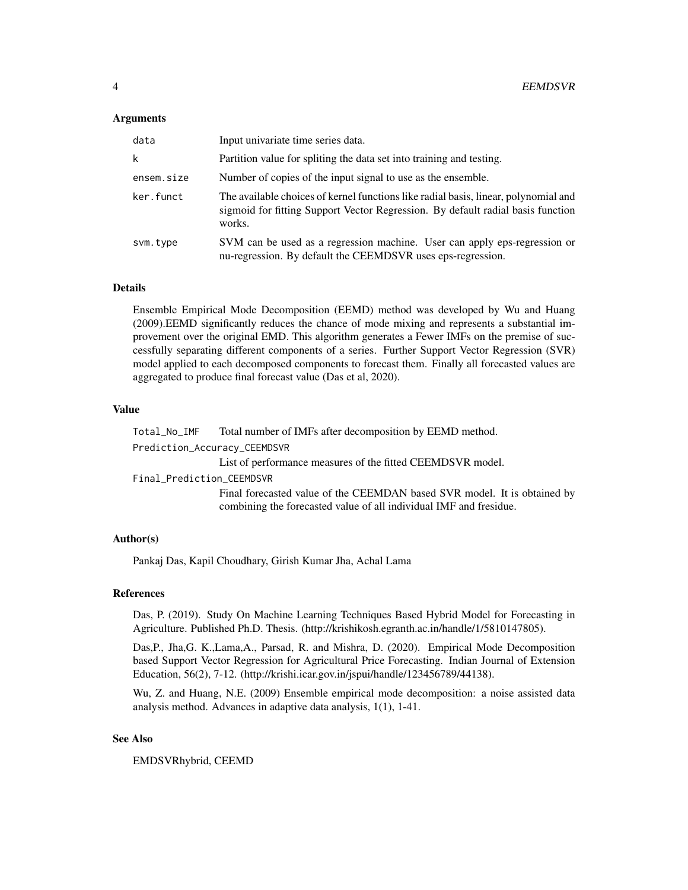#### Arguments

| data       | Input univariate time series data.                                                                                                                                               |
|------------|----------------------------------------------------------------------------------------------------------------------------------------------------------------------------------|
| k          | Partition value for spliting the data set into training and testing.                                                                                                             |
| ensem.size | Number of copies of the input signal to use as the ensemble.                                                                                                                     |
| ker.funct  | The available choices of kernel functions like radial basis, linear, polynomial and<br>sigmoid for fitting Support Vector Regression. By default radial basis function<br>works. |
| svm.type   | SVM can be used as a regression machine. User can apply eps-regression or<br>nu-regression. By default the CEEMDSVR uses eps-regression.                                         |

#### Details

Ensemble Empirical Mode Decomposition (EEMD) method was developed by Wu and Huang (2009).EEMD significantly reduces the chance of mode mixing and represents a substantial improvement over the original EMD. This algorithm generates a Fewer IMFs on the premise of successfully separating different components of a series. Further Support Vector Regression (SVR) model applied to each decomposed components to forecast them. Finally all forecasted values are aggregated to produce final forecast value (Das et al, 2020).

#### Value

Total\_No\_IMF Total number of IMFs after decomposition by EEMD method.

Prediction\_Accuracy\_CEEMDSVR

List of performance measures of the fitted CEEMDSVR model.

Final\_Prediction\_CEEMDSVR

Final forecasted value of the CEEMDAN based SVR model. It is obtained by combining the forecasted value of all individual IMF and fresidue.

#### Author(s)

Pankaj Das, Kapil Choudhary, Girish Kumar Jha, Achal Lama

#### References

Das, P. (2019). Study On Machine Learning Techniques Based Hybrid Model for Forecasting in Agriculture. Published Ph.D. Thesis. (http://krishikosh.egranth.ac.in/handle/1/5810147805).

Das,P., Jha,G. K.,Lama,A., Parsad, R. and Mishra, D. (2020). Empirical Mode Decomposition based Support Vector Regression for Agricultural Price Forecasting. Indian Journal of Extension Education, 56(2), 7-12. (http://krishi.icar.gov.in/jspui/handle/123456789/44138).

Wu, Z. and Huang, N.E. (2009) Ensemble empirical mode decomposition: a noise assisted data analysis method. Advances in adaptive data analysis, 1(1), 1-41.

#### See Also

EMDSVRhybrid, CEEMD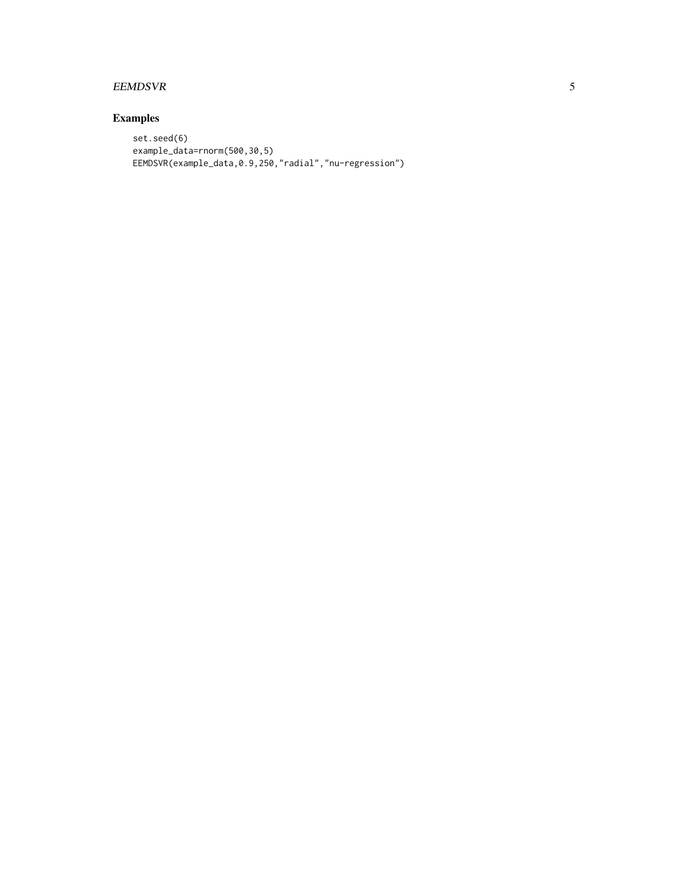#### EEMDSVR 5

### Examples

```
set.seed(6)
example_data=rnorm(500,30,5)
EEMDSVR(example_data,0.9,250,"radial","nu-regression")
```